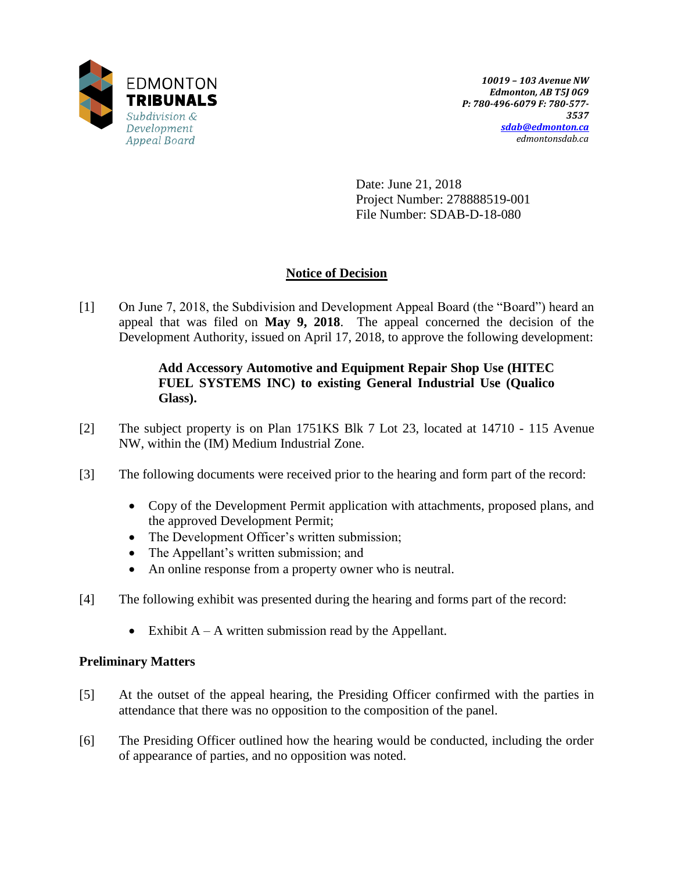

Date: June 21, 2018 Project Number: 278888519-001 File Number: SDAB-D-18-080

## **Notice of Decision**

[1] On June 7, 2018, the Subdivision and Development Appeal Board (the "Board") heard an appeal that was filed on **May 9, 2018**. The appeal concerned the decision of the Development Authority, issued on April 17, 2018, to approve the following development:

### **Add Accessory Automotive and Equipment Repair Shop Use (HITEC FUEL SYSTEMS INC) to existing General Industrial Use (Qualico Glass).**

- [2] The subject property is on Plan 1751KS Blk 7 Lot 23, located at 14710 115 Avenue NW, within the (IM) Medium Industrial Zone.
- [3] The following documents were received prior to the hearing and form part of the record:
	- Copy of the Development Permit application with attachments, proposed plans, and the approved Development Permit;
	- The Development Officer's written submission;
	- The Appellant's written submission; and
	- An online response from a property owner who is neutral.
- [4] The following exhibit was presented during the hearing and forms part of the record:
	- Exhibit  $A A$  written submission read by the Appellant.

#### **Preliminary Matters**

- [5] At the outset of the appeal hearing, the Presiding Officer confirmed with the parties in attendance that there was no opposition to the composition of the panel.
- [6] The Presiding Officer outlined how the hearing would be conducted, including the order of appearance of parties, and no opposition was noted.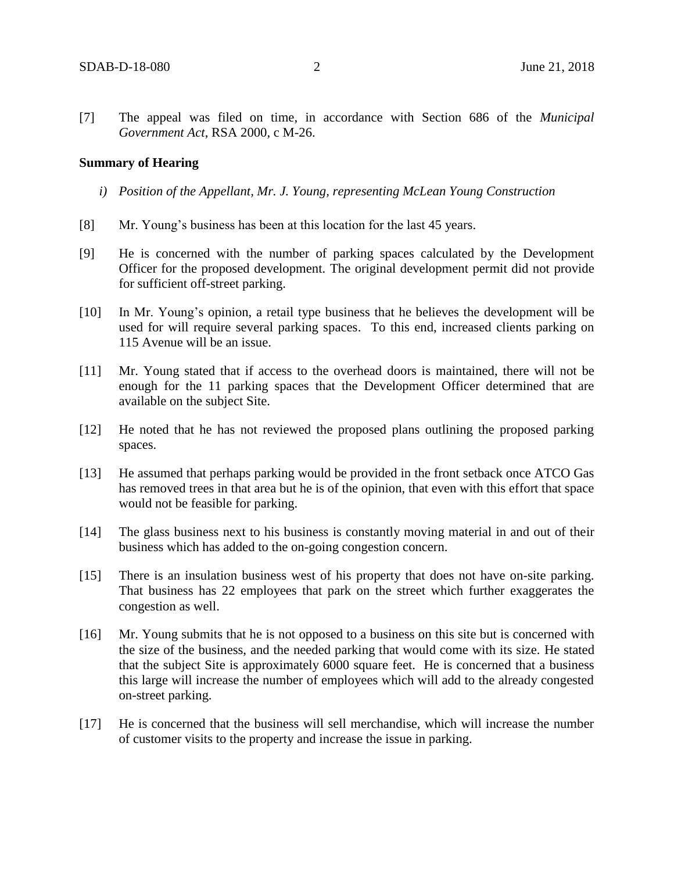[7] The appeal was filed on time, in accordance with Section 686 of the *Municipal Government Act*, RSA 2000, c M-26.

#### **Summary of Hearing**

- *i) Position of the Appellant, Mr. J. Young, representing McLean Young Construction*
- [8] Mr. Young's business has been at this location for the last 45 years.
- [9] He is concerned with the number of parking spaces calculated by the Development Officer for the proposed development. The original development permit did not provide for sufficient off-street parking.
- [10] In Mr. Young's opinion, a retail type business that he believes the development will be used for will require several parking spaces. To this end, increased clients parking on 115 Avenue will be an issue.
- [11] Mr. Young stated that if access to the overhead doors is maintained, there will not be enough for the 11 parking spaces that the Development Officer determined that are available on the subject Site.
- [12] He noted that he has not reviewed the proposed plans outlining the proposed parking spaces.
- [13] He assumed that perhaps parking would be provided in the front setback once ATCO Gas has removed trees in that area but he is of the opinion, that even with this effort that space would not be feasible for parking.
- [14] The glass business next to his business is constantly moving material in and out of their business which has added to the on-going congestion concern.
- [15] There is an insulation business west of his property that does not have on-site parking. That business has 22 employees that park on the street which further exaggerates the congestion as well.
- [16] Mr. Young submits that he is not opposed to a business on this site but is concerned with the size of the business, and the needed parking that would come with its size. He stated that the subject Site is approximately 6000 square feet. He is concerned that a business this large will increase the number of employees which will add to the already congested on-street parking.
- [17] He is concerned that the business will sell merchandise, which will increase the number of customer visits to the property and increase the issue in parking.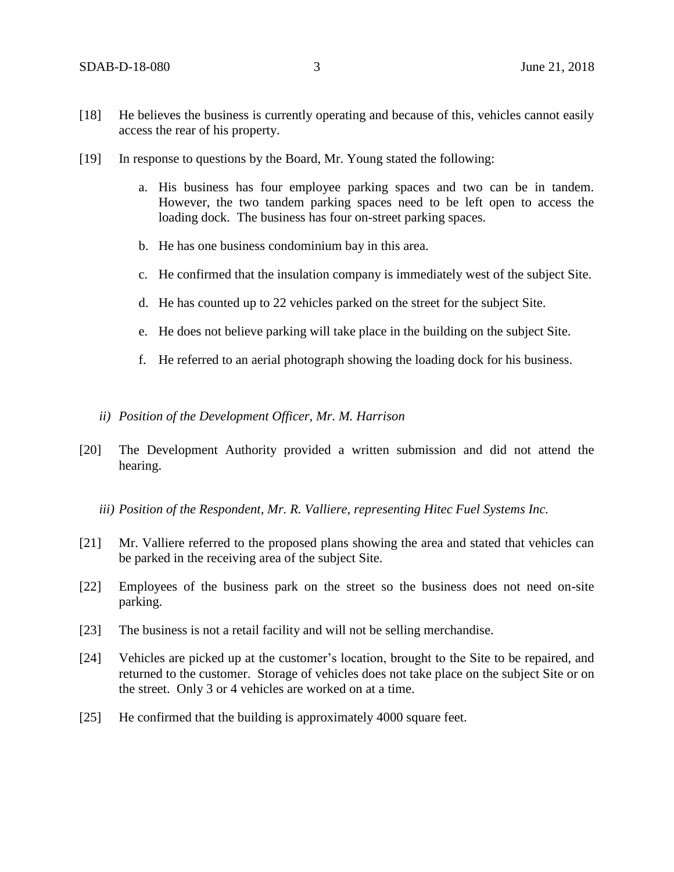- [18] He believes the business is currently operating and because of this, vehicles cannot easily access the rear of his property.
- [19] In response to questions by the Board, Mr. Young stated the following:
	- a. His business has four employee parking spaces and two can be in tandem. However, the two tandem parking spaces need to be left open to access the loading dock. The business has four on-street parking spaces.
	- b. He has one business condominium bay in this area.
	- c. He confirmed that the insulation company is immediately west of the subject Site.
	- d. He has counted up to 22 vehicles parked on the street for the subject Site.
	- e. He does not believe parking will take place in the building on the subject Site.
	- f. He referred to an aerial photograph showing the loading dock for his business.
	- *ii) Position of the Development Officer, Mr. M. Harrison*
- [20] The Development Authority provided a written submission and did not attend the hearing.
	- *iii) Position of the Respondent, Mr. R. Valliere, representing Hitec Fuel Systems Inc.*
- [21] Mr. Valliere referred to the proposed plans showing the area and stated that vehicles can be parked in the receiving area of the subject Site.
- [22] Employees of the business park on the street so the business does not need on-site parking.
- [23] The business is not a retail facility and will not be selling merchandise.
- [24] Vehicles are picked up at the customer's location, brought to the Site to be repaired, and returned to the customer. Storage of vehicles does not take place on the subject Site or on the street. Only 3 or 4 vehicles are worked on at a time.
- [25] He confirmed that the building is approximately 4000 square feet.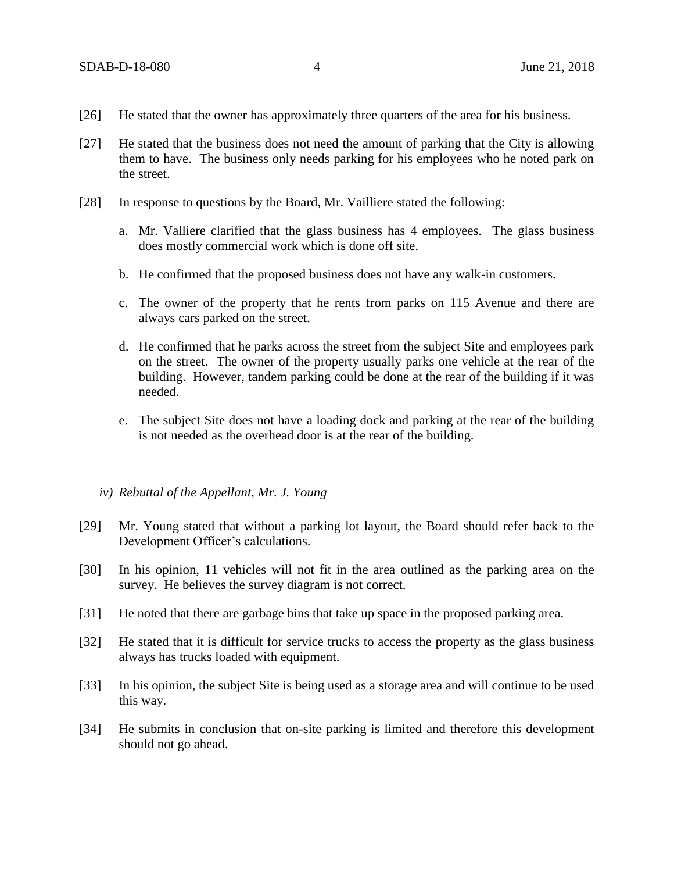- [26] He stated that the owner has approximately three quarters of the area for his business.
- [27] He stated that the business does not need the amount of parking that the City is allowing them to have. The business only needs parking for his employees who he noted park on the street.
- [28] In response to questions by the Board, Mr. Vailliere stated the following:
	- a. Mr. Valliere clarified that the glass business has 4 employees. The glass business does mostly commercial work which is done off site.
	- b. He confirmed that the proposed business does not have any walk-in customers.
	- c. The owner of the property that he rents from parks on 115 Avenue and there are always cars parked on the street.
	- d. He confirmed that he parks across the street from the subject Site and employees park on the street. The owner of the property usually parks one vehicle at the rear of the building. However, tandem parking could be done at the rear of the building if it was needed.
	- e. The subject Site does not have a loading dock and parking at the rear of the building is not needed as the overhead door is at the rear of the building.

#### *iv) Rebuttal of the Appellant, Mr. J. Young*

- [29] Mr. Young stated that without a parking lot layout, the Board should refer back to the Development Officer's calculations.
- [30] In his opinion, 11 vehicles will not fit in the area outlined as the parking area on the survey. He believes the survey diagram is not correct.
- [31] He noted that there are garbage bins that take up space in the proposed parking area.
- [32] He stated that it is difficult for service trucks to access the property as the glass business always has trucks loaded with equipment.
- [33] In his opinion, the subject Site is being used as a storage area and will continue to be used this way.
- [34] He submits in conclusion that on-site parking is limited and therefore this development should not go ahead.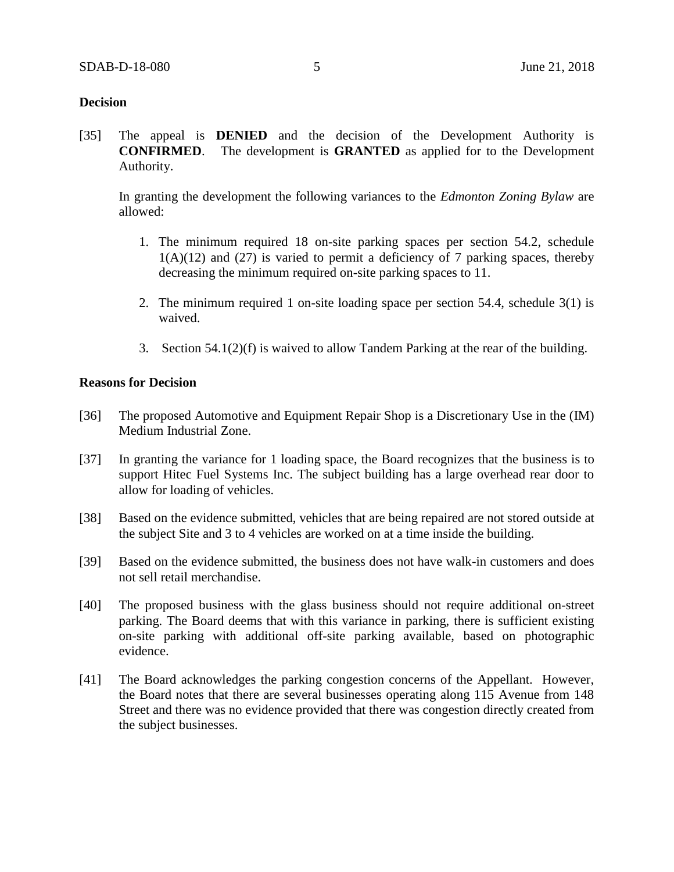#### **Decision**

[35] The appeal is **DENIED** and the decision of the Development Authority is **CONFIRMED**. The development is **GRANTED** as applied for to the Development Authority.

In granting the development the following variances to the *Edmonton Zoning Bylaw* are allowed:

- 1. The minimum required 18 on-site parking spaces per section 54.2, schedule  $1(A)(12)$  and  $(27)$  is varied to permit a deficiency of 7 parking spaces, thereby decreasing the minimum required on-site parking spaces to 11.
- 2. The minimum required 1 on-site loading space per section 54.4, schedule 3(1) is waived.
- 3. Section 54.1(2)(f) is waived to allow Tandem Parking at the rear of the building.

#### **Reasons for Decision**

- [36] The proposed Automotive and Equipment Repair Shop is a Discretionary Use in the (IM) Medium Industrial Zone.
- [37] In granting the variance for 1 loading space, the Board recognizes that the business is to support Hitec Fuel Systems Inc. The subject building has a large overhead rear door to allow for loading of vehicles.
- [38] Based on the evidence submitted, vehicles that are being repaired are not stored outside at the subject Site and 3 to 4 vehicles are worked on at a time inside the building.
- [39] Based on the evidence submitted, the business does not have walk-in customers and does not sell retail merchandise.
- [40] The proposed business with the glass business should not require additional on-street parking. The Board deems that with this variance in parking, there is sufficient existing on-site parking with additional off-site parking available, based on photographic evidence.
- [41] The Board acknowledges the parking congestion concerns of the Appellant. However, the Board notes that there are several businesses operating along 115 Avenue from 148 Street and there was no evidence provided that there was congestion directly created from the subject businesses.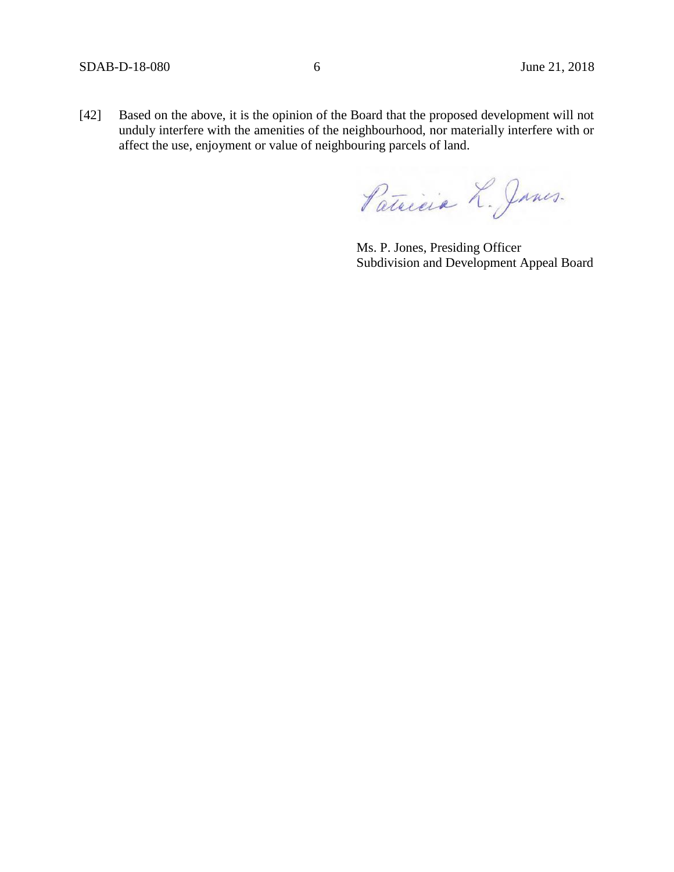[42] Based on the above, it is the opinion of the Board that the proposed development will not unduly interfere with the amenities of the neighbourhood, nor materially interfere with or affect the use, enjoyment or value of neighbouring parcels of land.

Patricia L. Janes.

Ms. P. Jones, Presiding Officer Subdivision and Development Appeal Board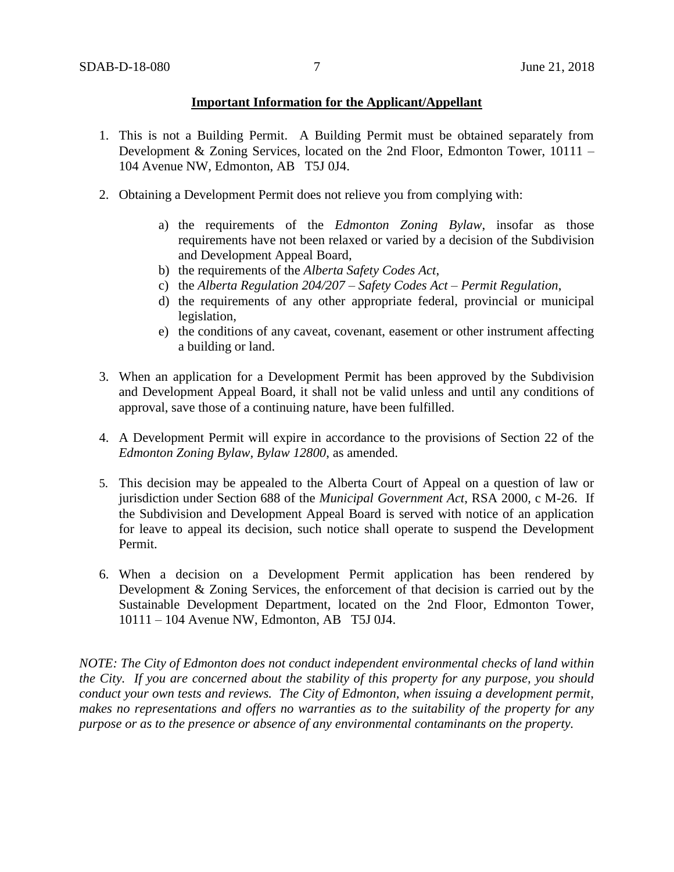#### **Important Information for the Applicant/Appellant**

- 1. This is not a Building Permit. A Building Permit must be obtained separately from Development & Zoning Services, located on the 2nd Floor, Edmonton Tower, 10111 – 104 Avenue NW, Edmonton, AB T5J 0J4.
- 2. Obtaining a Development Permit does not relieve you from complying with:
	- a) the requirements of the *Edmonton Zoning Bylaw*, insofar as those requirements have not been relaxed or varied by a decision of the Subdivision and Development Appeal Board,
	- b) the requirements of the *Alberta Safety Codes Act*,
	- c) the *Alberta Regulation 204/207 – Safety Codes Act – Permit Regulation*,
	- d) the requirements of any other appropriate federal, provincial or municipal legislation,
	- e) the conditions of any caveat, covenant, easement or other instrument affecting a building or land.
- 3. When an application for a Development Permit has been approved by the Subdivision and Development Appeal Board, it shall not be valid unless and until any conditions of approval, save those of a continuing nature, have been fulfilled.
- 4. A Development Permit will expire in accordance to the provisions of Section 22 of the *Edmonton Zoning Bylaw, Bylaw 12800*, as amended.
- 5. This decision may be appealed to the Alberta Court of Appeal on a question of law or jurisdiction under Section 688 of the *Municipal Government Act*, RSA 2000, c M-26. If the Subdivision and Development Appeal Board is served with notice of an application for leave to appeal its decision, such notice shall operate to suspend the Development Permit.
- 6. When a decision on a Development Permit application has been rendered by Development & Zoning Services, the enforcement of that decision is carried out by the Sustainable Development Department, located on the 2nd Floor, Edmonton Tower, 10111 – 104 Avenue NW, Edmonton, AB T5J 0J4.

*NOTE: The City of Edmonton does not conduct independent environmental checks of land within the City. If you are concerned about the stability of this property for any purpose, you should conduct your own tests and reviews. The City of Edmonton, when issuing a development permit, makes no representations and offers no warranties as to the suitability of the property for any purpose or as to the presence or absence of any environmental contaminants on the property.*